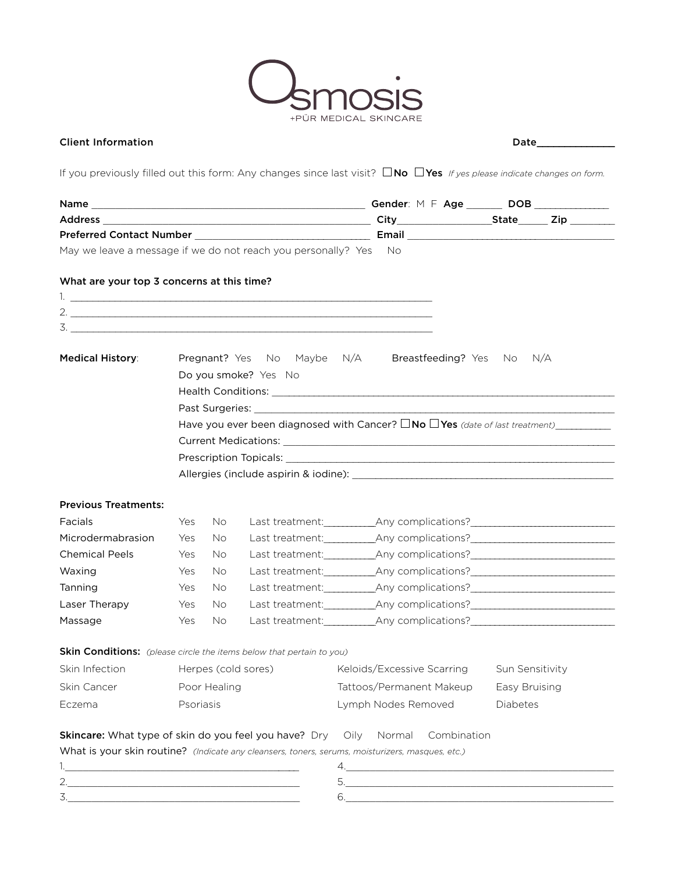

## Client Information Date\_\_\_\_\_\_\_\_\_\_\_\_\_\_

If you previously filled out this form: Any changes since last visit?  $\Box$  No  $\Box$  Yes *If yes please indicate changes on form.* 

| May we leave a message if we do not reach you personally? Yes No            |                                                                |     |  |                                                                                                  |             |                 |  |  |  |
|-----------------------------------------------------------------------------|----------------------------------------------------------------|-----|--|--------------------------------------------------------------------------------------------------|-------------|-----------------|--|--|--|
| What are your top 3 concerns at this time?                                  |                                                                |     |  |                                                                                                  |             |                 |  |  |  |
|                                                                             |                                                                |     |  |                                                                                                  |             |                 |  |  |  |
| 2. $\frac{1}{2}$                                                            |                                                                |     |  |                                                                                                  |             |                 |  |  |  |
| 3.                                                                          |                                                                |     |  |                                                                                                  |             |                 |  |  |  |
| <b>Medical History:</b>                                                     | <b>Pregnant?</b> Yes No Maybe N/A<br>Breastfeeding? Yes No N/A |     |  |                                                                                                  |             |                 |  |  |  |
|                                                                             | Do you smoke? Yes No                                           |     |  |                                                                                                  |             |                 |  |  |  |
|                                                                             |                                                                |     |  |                                                                                                  |             |                 |  |  |  |
|                                                                             |                                                                |     |  |                                                                                                  |             |                 |  |  |  |
|                                                                             |                                                                |     |  |                                                                                                  |             |                 |  |  |  |
|                                                                             |                                                                |     |  |                                                                                                  |             |                 |  |  |  |
|                                                                             |                                                                |     |  |                                                                                                  |             |                 |  |  |  |
|                                                                             |                                                                |     |  |                                                                                                  |             |                 |  |  |  |
| <b>Previous Treatments:</b>                                                 |                                                                |     |  |                                                                                                  |             |                 |  |  |  |
| Facials                                                                     | Yes                                                            | No. |  |                                                                                                  |             |                 |  |  |  |
| Microdermabrasion                                                           | Yes                                                            | No. |  | Last treatment:__________________Any complications?_____________________________                 |             |                 |  |  |  |
| <b>Chemical Peels</b>                                                       | Yes                                                            | No. |  | Last treatment:__________________Any complications?_____________________________                 |             |                 |  |  |  |
| Waxing                                                                      | Yes                                                            | No. |  | Last treatment:__________________Any complications?_____________________________                 |             |                 |  |  |  |
| Tanning                                                                     | Yes                                                            | No. |  | Last treatment: __________________Any complications? ___________________________                 |             |                 |  |  |  |
| Laser Therapy                                                               | Yes                                                            | No. |  | Last treatment: __________________Any complications? ___________________________                 |             |                 |  |  |  |
| Massage                                                                     | Yes                                                            | No. |  | Last treatment:__________________Any complications?_____________________________                 |             |                 |  |  |  |
| <b>Skin Conditions:</b> (please circle the items below that pertain to you) |                                                                |     |  |                                                                                                  |             |                 |  |  |  |
| Skin Infection                                                              | Herpes (cold sores)                                            |     |  | Keloids/Excessive Scarring                                                                       |             | Sun Sensitivity |  |  |  |
| Skin Cancer                                                                 | Poor Healing                                                   |     |  | Tattoos/Permanent Makeup                                                                         |             | Easy Bruising   |  |  |  |
| Eczema                                                                      | Psoriasis                                                      |     |  | Lymph Nodes Removed                                                                              |             | Diabetes        |  |  |  |
| <b>Skincare:</b> What type of skin do you feel you have? Dry Oily           |                                                                |     |  | Normal                                                                                           | Combination |                 |  |  |  |
|                                                                             |                                                                |     |  | What is your skin routine? (Indicate any cleansers, toners, serums, moisturizers, masques, etc.) |             |                 |  |  |  |
| the control of the control of the control of the control of the control of  |                                                                |     |  |                                                                                                  |             |                 |  |  |  |
| 2.                                                                          |                                                                |     |  |                                                                                                  |             |                 |  |  |  |
| 3.                                                                          |                                                                |     |  | 6.                                                                                               |             |                 |  |  |  |